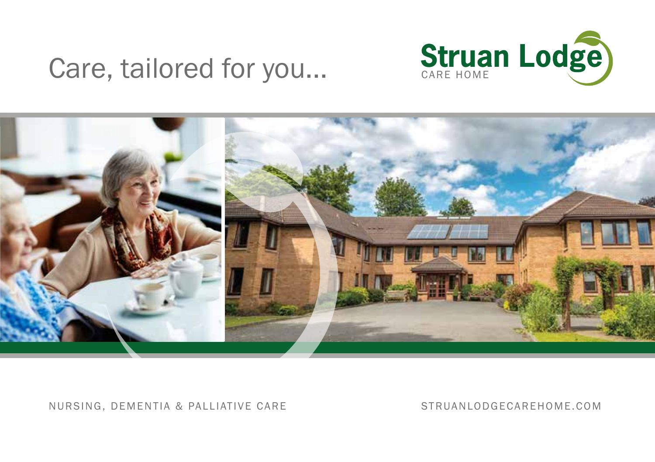# Care, tailored for you...





#### NURSING, DEMENTIA & PALLIATIVE CARE STRUANLODGECAREHOME.COM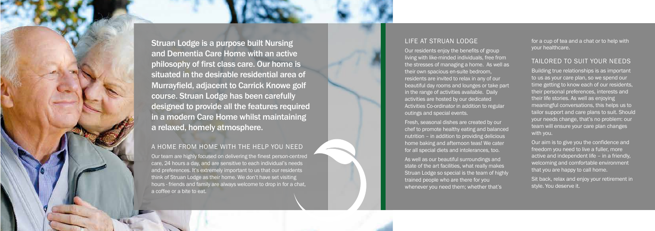### LIFE AT STRUAN LODGE

Our residents enjoy the benefits of group living with like-minded individuals, free from the stresses of managing a home. As well as their own spacious en-suite bedroom, residents are invited to relax in any of our beautiful day rooms and lounges or take part in the range of activities available. Daily activities are hosted by our dedicated Activities Co-ordinator in addition to regular outings and special events.

Fresh, seasonal dishes are created by our chef to promote healthy eating and balanced nutrition – in addition to providing delicious home baking and afternoon teas! We cater for all special diets and intolerances, too.

As well as our beautiful surroundings and state of the art facilities, what really makes Struan Lodge so special is the team of highly trained people who are there for you whenever you need them; whether that's

Struan Lodge is a purpose built Nursing and Dementia Care Home with an active philosophy of first class care. Our home is situated in the desirable residential area of Murrayfield, adjacent to Carrick Knowe golf course. Struan Lodge has been carefully designed to provide all the features required in a modern Care Home whilst maintaining a relaxed, homely atmosphere.

> Our aim is to give you the confidence and freedom you need to live a fuller, more active and independent life – in a friendly, welcoming and comfortable environment that you are happy to call home.

#### A HOME FROM HOME WITH THE HELP YOU NEED

Our team are highly focused on delivering the finest person-centred care, 24 hours a day, and are sensitive to each individual's needs and preferences. It's extremely important to us that our residents think of Struan Lodge as their home. We don't have set visiting hours - friends and family are always welcome to drop in for a chat, a coffee or a bite to eat.

for a cup of tea and a chat or to help with your healthcare.

## TAILORED TO SUIT YOUR NEEDS

Building true relationships is as important to us as your care plan, so we spend our time getting to know each of our residents, their personal preferences, interests and their life stories. As well as enjoying meaningful conversations, this helps us to tailor support and care plans to suit. Should your needs change, that's no problem: our team will ensure your care plan changes with you.

Sit back, relax and enjoy your retirement in style. You deserve it.